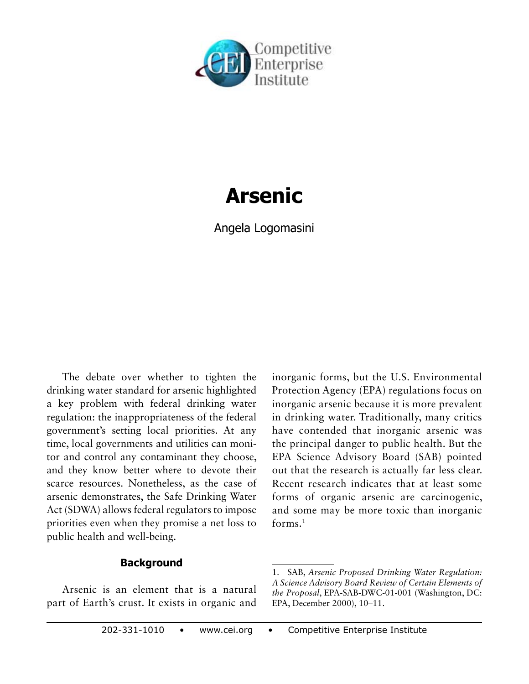

# **Arsenic**

Angela Logomasini

The debate over whether to tighten the drinking water standard for arsenic highlighted a key problem with federal drinking water regulation: the inappropriateness of the federal government's setting local priorities. At any time, local governments and utilities can monitor and control any contaminant they choose, and they know better where to devote their scarce resources. Nonetheless, as the case of arsenic demonstrates, the Safe Drinking Water Act (SDWA) allows federal regulators to impose priorities even when they promise a net loss to public health and well-being.

## **Background**

Arsenic is an element that is a natural part of Earth's crust. It exists in organic and inorganic forms, but the U.S. Environmental Protection Agency (EPA) regulations focus on inorganic arsenic because it is more prevalent in drinking water. Traditionally, many critics have contended that inorganic arsenic was the principal danger to public health. But the EPA Science Advisory Board (SAB) pointed out that the research is actually far less clear. Recent research indicates that at least some forms of organic arsenic are carcinogenic, and some may be more toxic than inorganic forms.1

<sup>1.</sup> SAB, *Arsenic Proposed Drinking Water Regulation: A Science Advisory Board Review of Certain Elements of the Proposal*, EPA-SAB-DWC-01-001 (Washington, DC: EPA, December 2000), 10–11.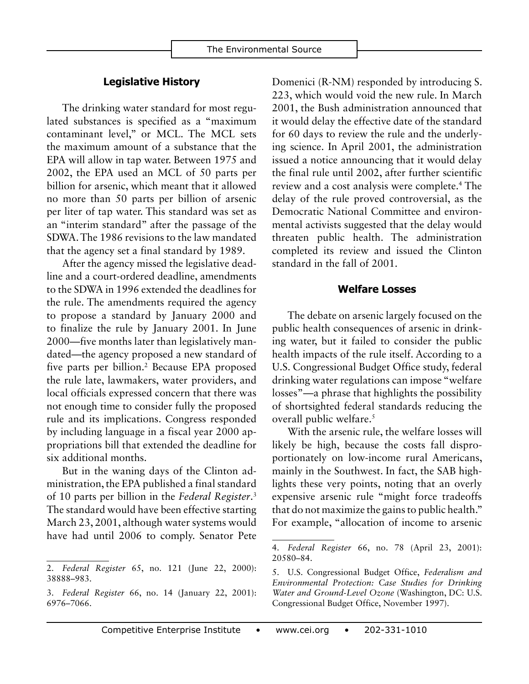#### **Legislative History**

The drinking water standard for most regulated substances is specified as a "maximum contaminant level," or MCL. The MCL sets the maximum amount of a substance that the EPA will allow in tap water. Between 1975 and 2002, the EPA used an MCL of 50 parts per billion for arsenic, which meant that it allowed no more than 50 parts per billion of arsenic per liter of tap water. This standard was set as an "interim standard" after the passage of the SDWA. The 1986 revisions to the law mandated that the agency set a final standard by 1989.

After the agency missed the legislative deadline and a court-ordered deadline, amendments to the SDWA in 1996 extended the deadlines for the rule. The amendments required the agency to propose a standard by January 2000 and to finalize the rule by January 2001. In June 2000—five months later than legislatively mandated—the agency proposed a new standard of five parts per billion.2 Because EPA proposed the rule late, lawmakers, water providers, and local officials expressed concern that there was not enough time to consider fully the proposed rule and its implications. Congress responded by including language in a fiscal year 2000 appropriations bill that extended the deadline for six additional months.

But in the waning days of the Clinton administration, the EPA published a final standard of 10 parts per billion in the *Federal Register*. 3 The standard would have been effective starting March 23, 2001, although water systems would have had until 2006 to comply. Senator Pete Domenici (R-NM) responded by introducing S. 223, which would void the new rule. In March 2001, the Bush administration announced that it would delay the effective date of the standard for 60 days to review the rule and the underlying science. In April 2001, the administration issued a notice announcing that it would delay the final rule until 2002, after further scientific review and a cost analysis were complete.4 The delay of the rule proved controversial, as the Democratic National Committee and environmental activists suggested that the delay would threaten public health. The administration completed its review and issued the Clinton standard in the fall of 2001.

#### **Welfare Losses**

The debate on arsenic largely focused on the public health consequences of arsenic in drinking water, but it failed to consider the public health impacts of the rule itself. According to a U.S. Congressional Budget Office study, federal drinking water regulations can impose "welfare losses"—a phrase that highlights the possibility of shortsighted federal standards reducing the overall public welfare.<sup>5</sup>

With the arsenic rule, the welfare losses will likely be high, because the costs fall disproportionately on low-income rural Americans, mainly in the Southwest. In fact, the SAB highlights these very points, noting that an overly expensive arsenic rule "might force tradeoffs that do not maximize the gains to public health." For example, "allocation of income to arsenic

<sup>2.</sup> *Federal Register* 65, no. 121 (June 22, 2000): 38888–983.

<sup>3.</sup> *Federal Register* 66, no. 14 (January 22, 2001): 6976–7066.

<sup>4.</sup> *Federal Register* 66, no. 78 (April 23, 2001): 20580–84.

<sup>5.</sup> U.S. Congressional Budget Office, *Federalism and Environmental Protection: Case Studies for Drinking Water and Ground-Level Ozone* (Washington, DC: U.S. Congressional Budget Office, November 1997).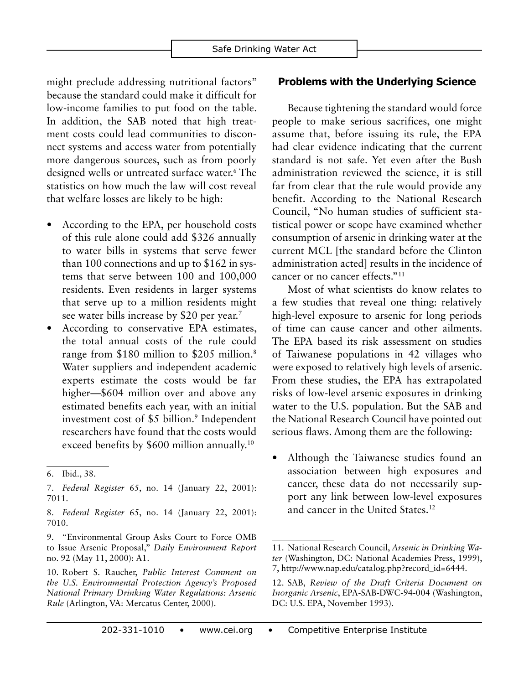might preclude addressing nutritional factors" because the standard could make it difficult for low-income families to put food on the table. In addition, the SAB noted that high treatment costs could lead communities to disconnect systems and access water from potentially more dangerous sources, such as from poorly designed wells or untreated surface water.6 The statistics on how much the law will cost reveal that welfare losses are likely to be high:

- According to the EPA, per household costs of this rule alone could add \$326 annually to water bills in systems that serve fewer than 100 connections and up to \$162 in systems that serve between 100 and 100,000 residents. Even residents in larger systems that serve up to a million residents might see water bills increase by \$20 per year.<sup>7</sup>
- According to conservative EPA estimates, the total annual costs of the rule could range from \$180 million to \$205 million.<sup>8</sup> Water suppliers and independent academic experts estimate the costs would be far higher—\$604 million over and above any estimated benefits each year, with an initial investment cost of \$5 billion.<sup>9</sup> Independent researchers have found that the costs would exceed benefits by \$600 million annually.<sup>10</sup>

## **Problems with the Underlying Science**

Because tightening the standard would force people to make serious sacrifices, one might assume that, before issuing its rule, the EPA had clear evidence indicating that the current standard is not safe. Yet even after the Bush administration reviewed the science, it is still far from clear that the rule would provide any benefit. According to the National Research Council, "No human studies of sufficient statistical power or scope have examined whether consumption of arsenic in drinking water at the current MCL [the standard before the Clinton administration acted] results in the incidence of cancer or no cancer effects."11

Most of what scientists do know relates to a few studies that reveal one thing: relatively high-level exposure to arsenic for long periods of time can cause cancer and other ailments. The EPA based its risk assessment on studies of Taiwanese populations in 42 villages who were exposed to relatively high levels of arsenic. From these studies, the EPA has extrapolated risks of low-level arsenic exposures in drinking water to the U.S. population. But the SAB and the National Research Council have pointed out serious flaws. Among them are the following:

Although the Taiwanese studies found an association between high exposures and cancer, these data do not necessarily support any link between low-level exposures and cancer in the United States.12

<sup>6.</sup> Ibid., 38.

<sup>7.</sup> *Federal Register* 65, no. 14 (January 22, 2001): 7011.

<sup>8.</sup> *Federal Register* 65, no. 14 (January 22, 2001): 7010.

<sup>9.</sup> "Environmental Group Asks Court to Force OMB to Issue Arsenic Proposal," *Daily Environment Report* no. 92 (May 11, 2000): A1.

<sup>10.</sup> Robert S. Raucher, *Public Interest Comment on the U.S. Environmental Protection Agency's Proposed National Primary Drinking Water Regulations: Arsenic Rule* (Arlington, VA: Mercatus Center, 2000).

<sup>11.</sup> National Research Council, *Arsenic in Drinking Water* (Washington, DC: National Academies Press, 1999), 7, http://www.nap.edu/catalog.php?record\_id=6444.

<sup>12.</sup> SAB, *Review of the Draft Criteria Document on Inorganic Arsenic*, EPA-SAB-DWC-94-004 (Washington, DC: U.S. EPA, November 1993).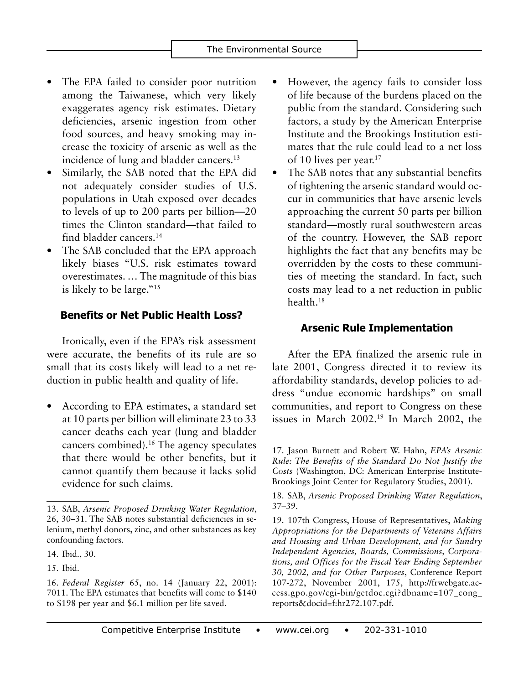- The EPA failed to consider poor nutrition among the Taiwanese, which very likely exaggerates agency risk estimates. Dietary deficiencies, arsenic ingestion from other food sources, and heavy smoking may increase the toxicity of arsenic as well as the incidence of lung and bladder cancers.<sup>13</sup>
- Similarly, the SAB noted that the EPA did not adequately consider studies of U.S. populations in Utah exposed over decades to levels of up to 200 parts per billion—20 times the Clinton standard—that failed to find bladder cancers.14
- The SAB concluded that the EPA approach likely biases "U.S. risk estimates toward overestimates. … The magnitude of this bias is likely to be large."15

# **Benefits or Net Public Health Loss?**

Ironically, even if the EPA's risk assessment were accurate, the benefits of its rule are so small that its costs likely will lead to a net reduction in public health and quality of life.

According to EPA estimates, a standard set at 10 parts per billion will eliminate 23 to 33 cancer deaths each year (lung and bladder cancers combined).16 The agency speculates that there would be other benefits, but it cannot quantify them because it lacks solid evidence for such claims.

- However, the agency fails to consider loss of life because of the burdens placed on the public from the standard. Considering such factors, a study by the American Enterprise Institute and the Brookings Institution estimates that the rule could lead to a net loss of 10 lives per year.17
- The SAB notes that any substantial benefits of tightening the arsenic standard would occur in communities that have arsenic levels approaching the current 50 parts per billion standard—mostly rural southwestern areas of the country. However, the SAB report highlights the fact that any benefits may be overridden by the costs to these communities of meeting the standard. In fact, such costs may lead to a net reduction in public health.18

# **Arsenic Rule Implementation**

After the EPA finalized the arsenic rule in late 2001, Congress directed it to review its affordability standards, develop policies to address "undue economic hardships" on small communities, and report to Congress on these issues in March 2002.19 In March 2002, the

<sup>13.</sup> SAB, *Arsenic Proposed Drinking Water Regulation*, 26, 30–31. The SAB notes substantial deficiencies in selenium, methyl donors, zinc, and other substances as key confounding factors.

<sup>14.</sup> Ibid., 30.

<sup>15.</sup> Ibid.

<sup>16.</sup> *Federal Register* 65, no. 14 (January 22, 2001): 7011. The EPA estimates that benefits will come to \$140 to \$198 per year and \$6.1 million per life saved.

<sup>17.</sup> Jason Burnett and Robert W. Hahn, *EPA's Arsenic Rule: The Benefits of the Standard Do Not Justify the Costs* (Washington, DC: American Enterprise Institute-Brookings Joint Center for Regulatory Studies, 2001).

<sup>18.</sup> SAB, *Arsenic Proposed Drinking Water Regulation*, 37–39.

<sup>19.</sup> 107th Congress, House of Representatives, *Making Appropriations for the Departments of Veterans Affairs and Housing and Urban Development, and for Sundry Independent Agencies, Boards, Commissions, Corporations, and Offices for the Fiscal Year Ending September 30, 2002, and for Other Purposes*, Conference Report 107-272, November 2001, 175, http://frwebgate.access.gpo.gov/cgi-bin/getdoc.cgi?dbname=107\_cong\_ reports&docid=f:hr272.107.pdf.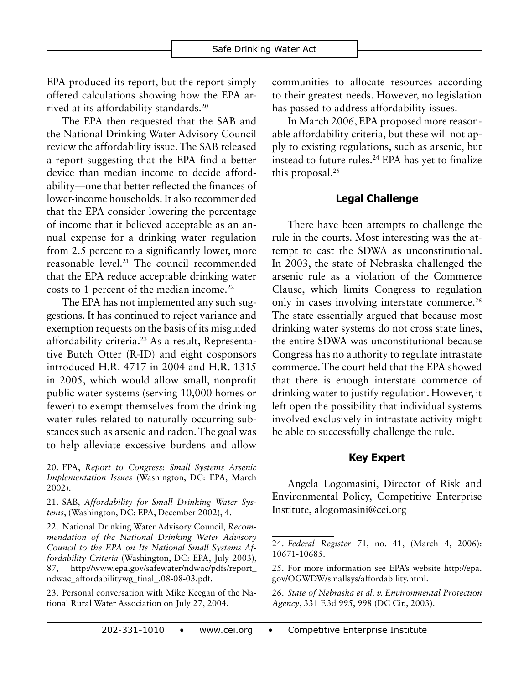EPA produced its report, but the report simply offered calculations showing how the EPA arrived at its affordability standards.20

The EPA then requested that the SAB and the National Drinking Water Advisory Council review the affordability issue. The SAB released a report suggesting that the EPA find a better device than median income to decide affordability—one that better reflected the finances of lower-income households. It also recommended that the EPA consider lowering the percentage of income that it believed acceptable as an annual expense for a drinking water regulation from 2.5 percent to a significantly lower, more reasonable level.21 The council recommended that the EPA reduce acceptable drinking water costs to 1 percent of the median income.<sup>22</sup>

The EPA has not implemented any such suggestions. It has continued to reject variance and exemption requests on the basis of its misguided affordability criteria.23 As a result, Representative Butch Otter (R-ID) and eight cosponsors introduced H.R. 4717 in 2004 and H.R. 1315 in 2005, which would allow small, nonprofit public water systems (serving 10,000 homes or fewer) to exempt themselves from the drinking water rules related to naturally occurring substances such as arsenic and radon. The goal was to help alleviate excessive burdens and allow

22. National Drinking Water Advisory Council, *Recommendation of the National Drinking Water Advisory Council to the EPA on Its National Small Systems Affordability Criteria* (Washington, DC: EPA, July 2003), 87, http://www.epa.gov/safewater/ndwac/pdfs/report\_ ndwac\_affordabilitywg\_final\_.08-08-03.pdf.

23. Personal conversation with Mike Keegan of the National Rural Water Association on July 27, 2004.

communities to allocate resources according to their greatest needs. However, no legislation has passed to address affordability issues.

In March 2006, EPA proposed more reasonable affordability criteria, but these will not apply to existing regulations, such as arsenic, but instead to future rules.<sup>24</sup> EPA has yet to finalize this proposal.25

## **Legal Challenge**

There have been attempts to challenge the rule in the courts. Most interesting was the attempt to cast the SDWA as unconstitutional. In 2003, the state of Nebraska challenged the arsenic rule as a violation of the Commerce Clause, which limits Congress to regulation only in cases involving interstate commerce.<sup>26</sup> The state essentially argued that because most drinking water systems do not cross state lines, the entire SDWA was unconstitutional because Congress has no authority to regulate intrastate commerce. The court held that the EPA showed that there is enough interstate commerce of drinking water to justify regulation. However, it left open the possibility that individual systems involved exclusively in intrastate activity might be able to successfully challenge the rule.

### **Key Expert**

Angela Logomasini, Director of Risk and Environmental Policy, Competitive Enterprise Institute, alogomasini@cei.org

<sup>20.</sup> EPA, *Report to Congress: Small Systems Arsenic Implementation Issues* (Washington, DC: EPA, March 2002).

<sup>21.</sup> SAB, *Affordability for Small Drinking Water Systems*, (Washington, DC: EPA, December 2002), 4.

<sup>24.</sup> *Federal Register* 71, no. 41, (March 4, 2006): 10671-10685.

<sup>25.</sup> For more information see EPA's website http://epa. gov/OGWDW/smallsys/affordability.html.

<sup>26.</sup> *State of Nebraska et al. v. Environmental Protection Agency*, 331 F.3d 995, 998 (DC Cir., 2003).